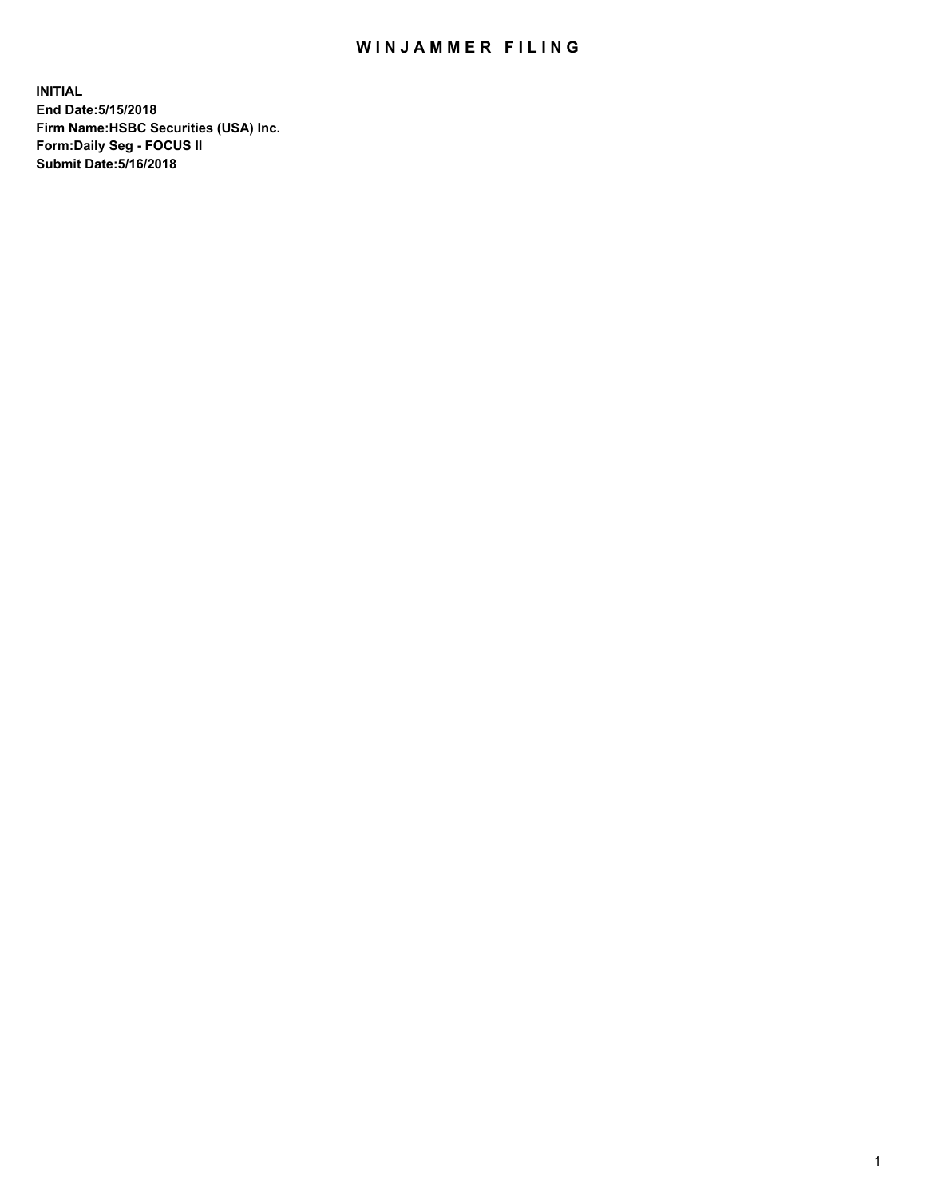## WIN JAMMER FILING

**INITIAL End Date:5/15/2018 Firm Name:HSBC Securities (USA) Inc. Form:Daily Seg - FOCUS II Submit Date:5/16/2018**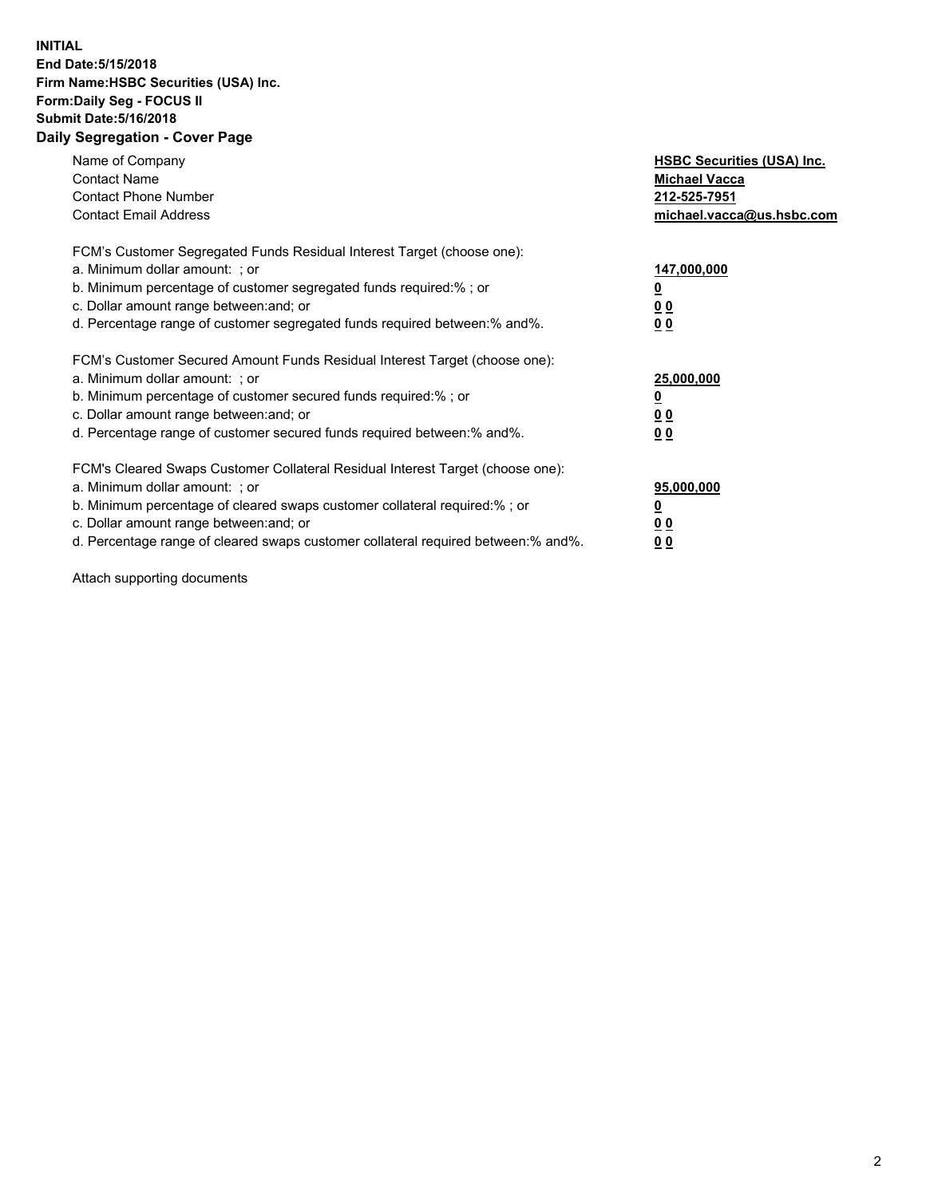## **INITIAL End Date:5/15/2018 Firm Name:HSBC Securities (USA) Inc. Form:Daily Seg - FOCUS II Submit Date:5/16/2018 Daily Segregation - Cover Page**

| Name of Company<br><b>Contact Name</b><br><b>Contact Phone Number</b><br><b>Contact Email Address</b>                                                                                                                                                                                                                         | <b>HSBC Securities (USA) Inc.</b><br><b>Michael Vacca</b><br>212-525-7951<br>michael.vacca@us.hsbc.com |
|-------------------------------------------------------------------------------------------------------------------------------------------------------------------------------------------------------------------------------------------------------------------------------------------------------------------------------|--------------------------------------------------------------------------------------------------------|
| FCM's Customer Segregated Funds Residual Interest Target (choose one):<br>a. Minimum dollar amount: ; or<br>b. Minimum percentage of customer segregated funds required:%; or<br>c. Dollar amount range between: and; or<br>d. Percentage range of customer segregated funds required between: % and %.                       | 147,000,000<br><u>0</u><br><u>00</u><br>00                                                             |
| FCM's Customer Secured Amount Funds Residual Interest Target (choose one):<br>a. Minimum dollar amount: ; or<br>b. Minimum percentage of customer secured funds required:%; or<br>c. Dollar amount range between: and; or<br>d. Percentage range of customer secured funds required between: % and %.                         | 25,000,000<br><u>0</u><br><u>00</u><br>00                                                              |
| FCM's Cleared Swaps Customer Collateral Residual Interest Target (choose one):<br>a. Minimum dollar amount: ; or<br>b. Minimum percentage of cleared swaps customer collateral required:%; or<br>c. Dollar amount range between: and; or<br>d. Percentage range of cleared swaps customer collateral required between:% and%. | 95,000,000<br><u>0</u><br><u>00</u><br><u>00</u>                                                       |

Attach supporting documents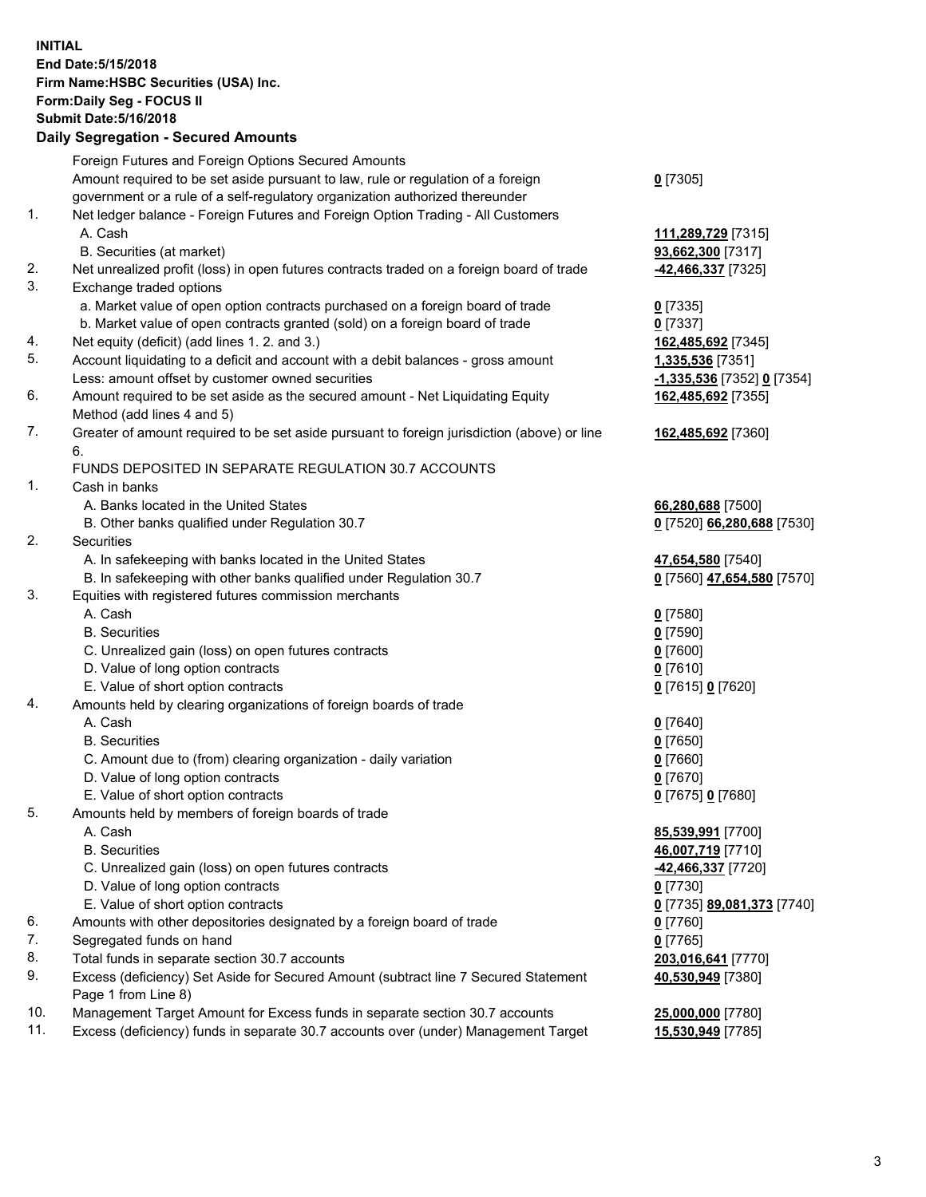**INITIAL End Date:5/15/2018 Firm Name:HSBC Securities (USA) Inc. Form:Daily Seg - FOCUS II Submit Date:5/16/2018 Daily Segregation - Secured Amounts**

|     | Foreign Futures and Foreign Options Secured Amounts                                         |                            |
|-----|---------------------------------------------------------------------------------------------|----------------------------|
|     | Amount required to be set aside pursuant to law, rule or regulation of a foreign            | $0$ [7305]                 |
|     | government or a rule of a self-regulatory organization authorized thereunder                |                            |
| 1.  | Net ledger balance - Foreign Futures and Foreign Option Trading - All Customers             |                            |
|     | A. Cash                                                                                     | 111,289,729 [7315]         |
|     | B. Securities (at market)                                                                   | 93,662,300 [7317]          |
| 2.  | Net unrealized profit (loss) in open futures contracts traded on a foreign board of trade   | 42,466,337 [7325]          |
| 3.  | Exchange traded options                                                                     |                            |
|     | a. Market value of open option contracts purchased on a foreign board of trade              | $0$ [7335]                 |
|     | b. Market value of open contracts granted (sold) on a foreign board of trade                | $0$ [7337]                 |
| 4.  | Net equity (deficit) (add lines 1.2. and 3.)                                                | 162,485,692 [7345]         |
| 5.  | Account liquidating to a deficit and account with a debit balances - gross amount           | 1,335,536 [7351]           |
|     | Less: amount offset by customer owned securities                                            | -1,335,536 [7352] 0 [7354] |
| 6.  | Amount required to be set aside as the secured amount - Net Liquidating Equity              | 162,485,692 [7355]         |
|     | Method (add lines 4 and 5)                                                                  |                            |
| 7.  | Greater of amount required to be set aside pursuant to foreign jurisdiction (above) or line | 162,485,692 [7360]         |
|     | 6.                                                                                          |                            |
|     | FUNDS DEPOSITED IN SEPARATE REGULATION 30.7 ACCOUNTS                                        |                            |
| 1.  | Cash in banks                                                                               |                            |
|     | A. Banks located in the United States                                                       | 66,280,688 [7500]          |
|     | B. Other banks qualified under Regulation 30.7                                              | 0 [7520] 66,280,688 [7530] |
| 2.  | Securities                                                                                  |                            |
|     | A. In safekeeping with banks located in the United States                                   | 47,654,580 [7540]          |
|     | B. In safekeeping with other banks qualified under Regulation 30.7                          | 0 [7560] 47,654,580 [7570] |
| 3.  | Equities with registered futures commission merchants                                       |                            |
|     | A. Cash                                                                                     | $0$ [7580]                 |
|     | <b>B.</b> Securities                                                                        | $0$ [7590]                 |
|     | C. Unrealized gain (loss) on open futures contracts                                         | $0$ [7600]                 |
|     | D. Value of long option contracts                                                           | $0$ [7610]                 |
|     | E. Value of short option contracts                                                          | 0 [7615] 0 [7620]          |
| 4.  | Amounts held by clearing organizations of foreign boards of trade                           |                            |
|     | A. Cash                                                                                     | $0$ [7640]                 |
|     | <b>B.</b> Securities                                                                        | $0$ [7650]                 |
|     | C. Amount due to (from) clearing organization - daily variation                             | $0$ [7660]                 |
|     | D. Value of long option contracts                                                           | $0$ [7670]                 |
|     | E. Value of short option contracts                                                          | 0 [7675] 0 [7680]          |
| 5.  | Amounts held by members of foreign boards of trade                                          |                            |
|     | A. Cash                                                                                     | 85,539,991 [7700]          |
|     | <b>B.</b> Securities                                                                        | 46,007,719 [7710]          |
|     | C. Unrealized gain (loss) on open futures contracts                                         | -42,466,337 [7720]         |
|     | D. Value of long option contracts                                                           | $0$ [7730]                 |
|     | E. Value of short option contracts                                                          | 0 [7735] 89,081,373 [7740] |
| 6.  | Amounts with other depositories designated by a foreign board of trade                      | $0$ [7760]                 |
| 7.  | Segregated funds on hand                                                                    | $0$ [7765]                 |
| 8.  | Total funds in separate section 30.7 accounts                                               | 203,016,641 [7770]         |
| 9.  | Excess (deficiency) Set Aside for Secured Amount (subtract line 7 Secured Statement         | 40,530,949 [7380]          |
|     | Page 1 from Line 8)                                                                         |                            |
| 10. | Management Target Amount for Excess funds in separate section 30.7 accounts                 | 25,000,000 [7780]          |
| 11. | Excess (deficiency) funds in separate 30.7 accounts over (under) Management Target          | 15,530,949 [7785]          |
|     |                                                                                             |                            |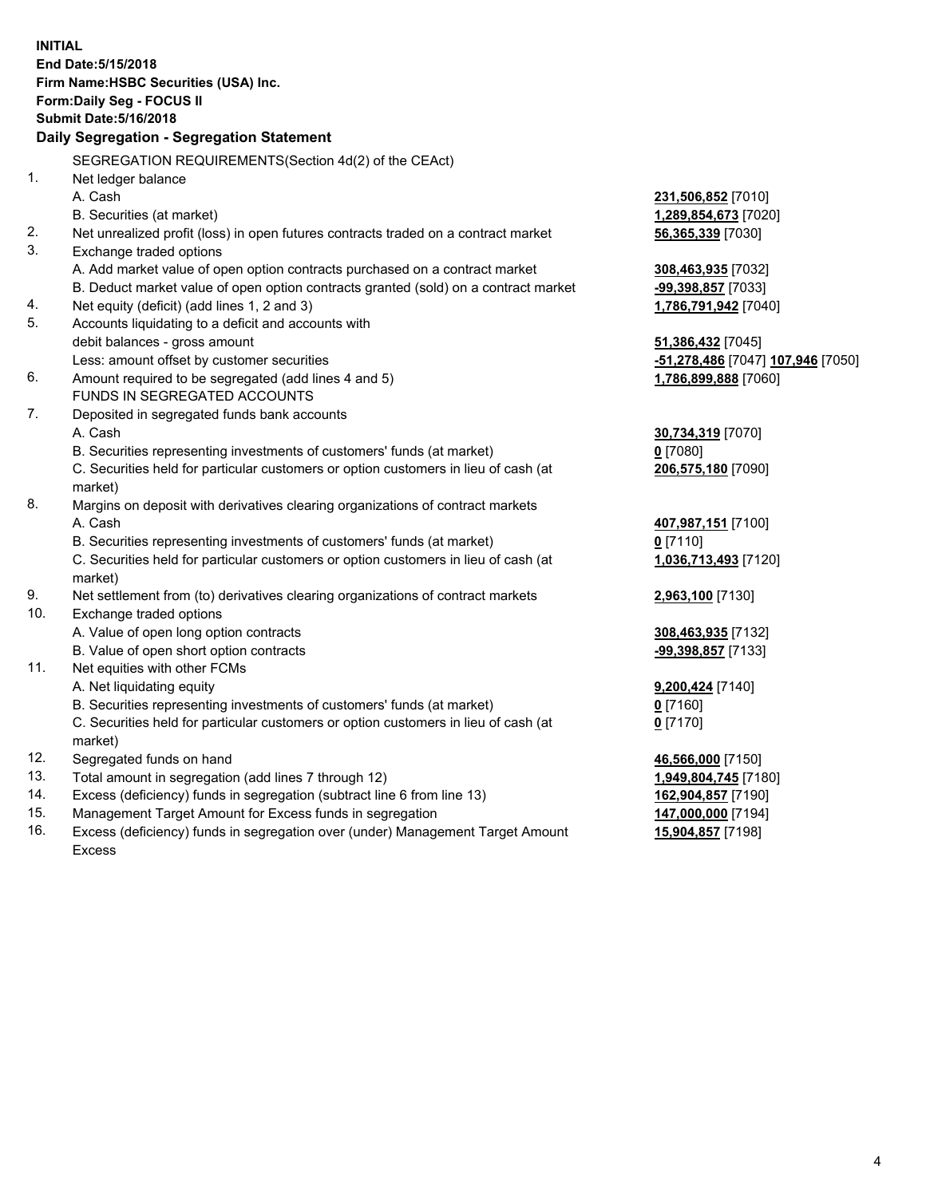**INITIAL End Date:5/15/2018 Firm Name:HSBC Securities (USA) Inc. Form:Daily Seg - FOCUS II Submit Date:5/16/2018 Daily Segregation - Segregation Statement** SEGREGATION REQUIREMENTS(Section 4d(2) of the CEAct) 1. Net ledger balance A. Cash **231,506,852** [7010] B. Securities (at market) **1,289,854,673** [7020] 2. Net unrealized profit (loss) in open futures contracts traded on a contract market **56,365,339** [7030] 3. Exchange traded options A. Add market value of open option contracts purchased on a contract market **308,463,935** [7032] B. Deduct market value of open option contracts granted (sold) on a contract market **-99,398,857** [7033] 4. Net equity (deficit) (add lines 1, 2 and 3) **1,786,791,942** [7040] 5. Accounts liquidating to a deficit and accounts with debit balances - gross amount **51,386,432** [7045] Less: amount offset by customer securities **-51,278,486** [7047] **107,946** [7050] 6. Amount required to be segregated (add lines 4 and 5) **1,786,899,888** [7060] FUNDS IN SEGREGATED ACCOUNTS 7. Deposited in segregated funds bank accounts A. Cash **30,734,319** [7070] B. Securities representing investments of customers' funds (at market) **0** [7080] C. Securities held for particular customers or option customers in lieu of cash (at market) **206,575,180** [7090] 8. Margins on deposit with derivatives clearing organizations of contract markets A. Cash **407,987,151** [7100] B. Securities representing investments of customers' funds (at market) **0** [7110] C. Securities held for particular customers or option customers in lieu of cash (at market) **1,036,713,493** [7120] 9. Net settlement from (to) derivatives clearing organizations of contract markets **2,963,100** [7130] 10. Exchange traded options A. Value of open long option contracts **308,463,935** [7132] B. Value of open short option contracts **-99,398,857** [7133] 11. Net equities with other FCMs A. Net liquidating equity **9,200,424** [7140] B. Securities representing investments of customers' funds (at market) **0** [7160] C. Securities held for particular customers or option customers in lieu of cash (at market) **0** [7170] 12. Segregated funds on hand **46,566,000** [7150] 13. Total amount in segregation (add lines 7 through 12) **1,949,804,745** [7180] 14. Excess (deficiency) funds in segregation (subtract line 6 from line 13) **162,904,857** [7190] 15. Management Target Amount for Excess funds in segregation **147,000,000** [7194]

16. Excess (deficiency) funds in segregation over (under) Management Target Amount Excess

**15,904,857** [7198]